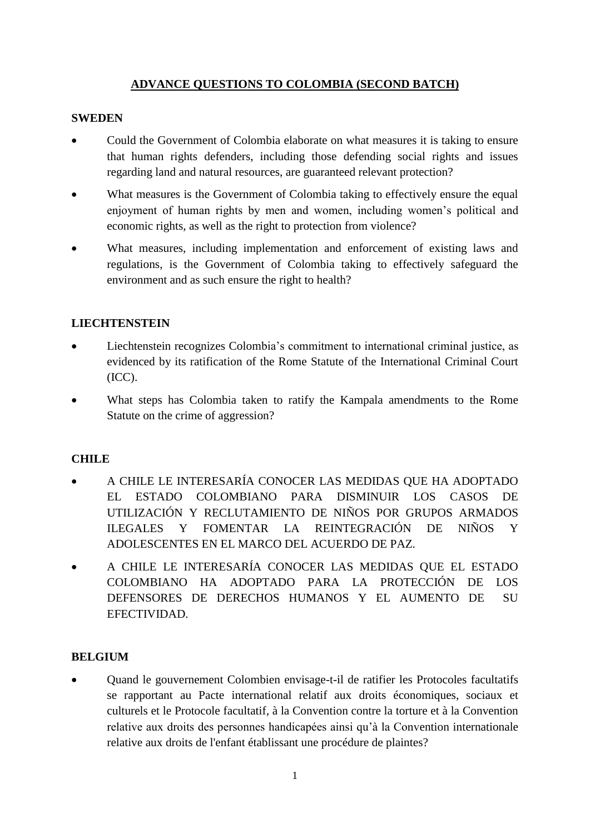# **ADVANCE QUESTIONS TO COLOMBIA (SECOND BATCH)**

#### **SWEDEN**

- Could the Government of Colombia elaborate on what measures it is taking to ensure that human rights defenders, including those defending social rights and issues regarding land and natural resources, are guaranteed relevant protection?
- What measures is the Government of Colombia taking to effectively ensure the equal enjoyment of human rights by men and women, including women's political and economic rights, as well as the right to protection from violence?
- What measures, including implementation and enforcement of existing laws and regulations, is the Government of Colombia taking to effectively safeguard the environment and as such ensure the right to health?

# **LIECHTENSTEIN**

- Liechtenstein recognizes Colombia's commitment to international criminal justice, as evidenced by its ratification of the Rome Statute of the International Criminal Court (ICC).
- What steps has Colombia taken to ratify the Kampala amendments to the Rome Statute on the crime of aggression?

# **CHILE**

- A CHILE LE INTERESARÍA CONOCER LAS MEDIDAS QUE HA ADOPTADO EL ESTADO COLOMBIANO PARA DISMINUIR LOS CASOS DE UTILIZACIÓN Y RECLUTAMIENTO DE NIÑOS POR GRUPOS ARMADOS ILEGALES Y FOMENTAR LA REINTEGRACIÓN DE NIÑOS Y ADOLESCENTES EN EL MARCO DEL ACUERDO DE PAZ.
- A CHILE LE INTERESARÍA CONOCER LAS MEDIDAS QUE EL ESTADO COLOMBIANO HA ADOPTADO PARA LA PROTECCIÓN DE LOS DEFENSORES DE DERECHOS HUMANOS Y EL AUMENTO DE SU EFECTIVIDAD.

# **BELGIUM**

• Quand le gouvernement Colombien envisage-t-il de ratifier les Protocoles facultatifs se rapportant au Pacte international relatif aux droits économiques, sociaux et culturels et le Protocole facultatif, à la Convention contre la torture et à la Convention relative aux droits des personnes handicapées ainsi qu'à la Convention internationale relative aux droits de l'enfant établissant une procédure de plaintes?